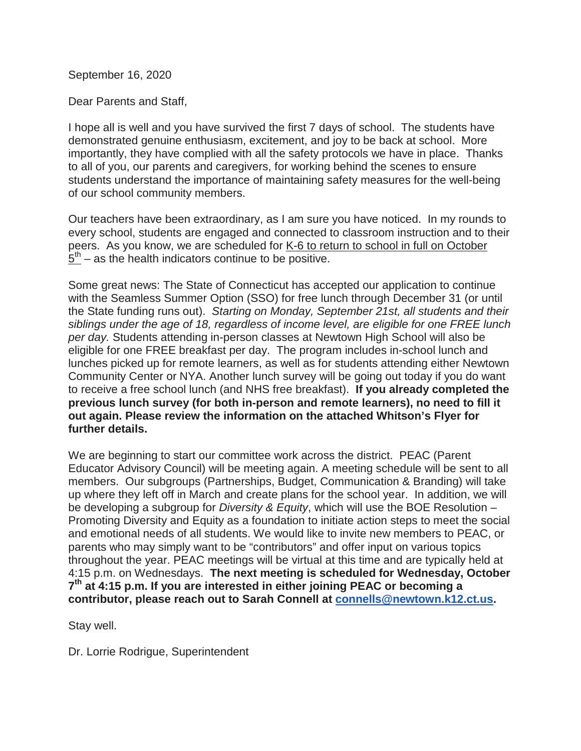September 16, 2020

Dear Parents and Staff,

I hope all is well and you have survived the first 7 days of school. The students have demonstrated genuine enthusiasm, excitement, and joy to be back at school. More importantly, they have complied with all the safety protocols we have in place. Thanks to all of you, our parents and caregivers, for working behind the scenes to ensure students understand the importance of maintaining safety measures for the well-being of our school community members.

Our teachers have been extraordinary, as I am sure you have noticed. In my rounds to every school, students are engaged and connected to classroom instruction and to their peers. As you know, we are scheduled for K-6 to return to school in full on October  $5<sup>th</sup>$  – as the health indicators continue to be positive.

Some great news: The State of Connecticut has accepted our application to continue with the Seamless Summer Option (SSO) for free lunch through December 31 (or until the State funding runs out). *Starting on Monday, September 21st, all students and their siblings under the age of 18, regardless of income level, are eligible for one FREE lunch per day.* Students attending in-person classes at Newtown High School will also be eligible for one FREE breakfast per day. The program includes in-school lunch and lunches picked up for remote learners, as well as for students attending either Newtown Community Center or NYA. Another lunch survey will be going out today if you do want to receive a free school lunch (and NHS free breakfast). **If you already completed the previous lunch survey (for both in-person and remote learners), no need to fill it out again. Please review the information on the attached Whitson's Flyer for further details.**

We are beginning to start our committee work across the district. PEAC (Parent Educator Advisory Council) will be meeting again. A meeting schedule will be sent to all members. Our subgroups (Partnerships, Budget, Communication & Branding) will take up where they left off in March and create plans for the school year. In addition, we will be developing a subgroup for *Diversity & Equity*, which will use the BOE Resolution – Promoting Diversity and Equity as a foundation to initiate action steps to meet the social and emotional needs of all students. We would like to invite new members to PEAC, or parents who may simply want to be "contributors" and offer input on various topics throughout the year. PEAC meetings will be virtual at this time and are typically held at 4:15 p.m. on Wednesdays. **The next meeting is scheduled for Wednesday, October 7th at 4:15 p.m. If you are interested in either joining PEAC or becoming a contributor, please reach out to Sarah Connell at [connells@newtown.k12.ct.us.](mailto:connells@newtown.k12.ct.us)**

Stay well.

Dr. Lorrie Rodrigue, Superintendent